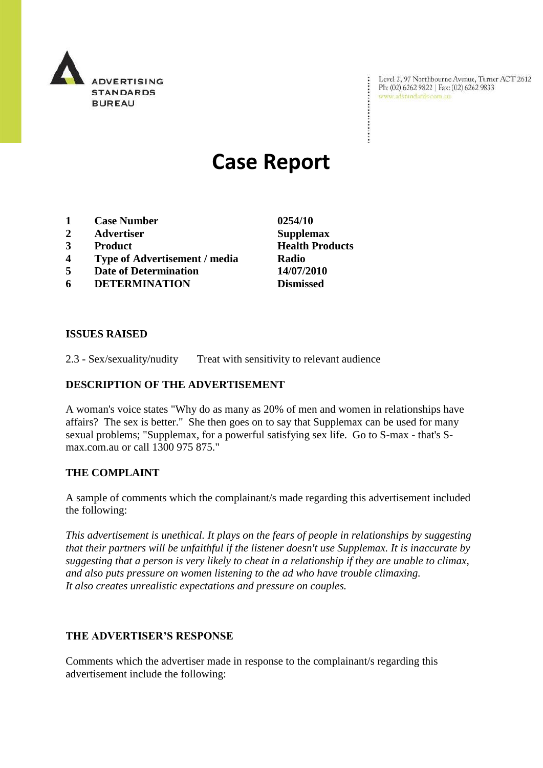

Level 2, 97 Northbourne Avenue, Turne<br>Ph: (02) 6262 9822 | Fax: (02) 6262 9833<br>www.adstandards.com.au Level 2, 97 Northbourne Avenue, Turner ACT 2612

# **Case Report**

- **1 Case Number 0254/10**
- **2 Advertiser Supplemax**
- 
- **4 Type of Advertisement / media Radio**
- **5 Date of Determination 14/07/2010**
- **6 DETERMINATION Dismissed**

**ISSUES RAISED**

2.3 - Sex/sexuality/nudity Treat with sensitivity to relevant audience

## **DESCRIPTION OF THE ADVERTISEMENT**

A woman's voice states "Why do as many as 20% of men and women in relationships have affairs? The sex is better." She then goes on to say that Supplemax can be used for many sexual problems; "Supplemax, for a powerful satisfying sex life. Go to S-max - that's Smax.com.au or call 1300 975 875."

## **THE COMPLAINT**

A sample of comments which the complainant/s made regarding this advertisement included the following:

*This advertisement is unethical. It plays on the fears of people in relationships by suggesting that their partners will be unfaithful if the listener doesn't use Supplemax. It is inaccurate by suggesting that a person is very likely to cheat in a relationship if they are unable to climax, and also puts pressure on women listening to the ad who have trouble climaxing. It also creates unrealistic expectations and pressure on couples.*

## **THE ADVERTISER'S RESPONSE**

Comments which the advertiser made in response to the complainant/s regarding this advertisement include the following:

**3 Product Health Products**

 $\ddot{\cdot}$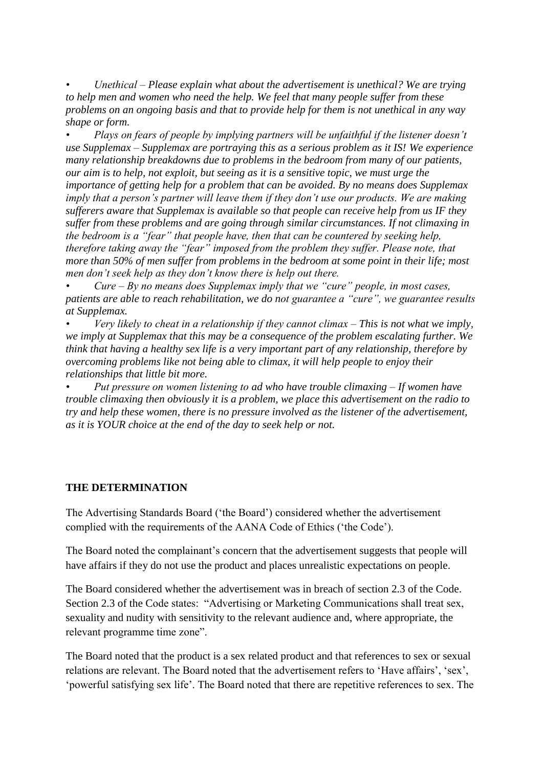*• Unethical – Please explain what about the advertisement is unethical? We are trying to help men and women who need the help. We feel that many people suffer from these problems on an ongoing basis and that to provide help for them is not unethical in any way shape or form.*

*• Plays on fears of people by implying partners will be unfaithful if the listener doesn't use Supplemax – Supplemax are portraying this as a serious problem as it IS! We experience many relationship breakdowns due to problems in the bedroom from many of our patients, our aim is to help, not exploit, but seeing as it is a sensitive topic, we must urge the importance of getting help for a problem that can be avoided. By no means does Supplemax imply that a person's partner will leave them if they don't use our products. We are making sufferers aware that Supplemax is available so that people can receive help from us IF they suffer from these problems and are going through similar circumstances. If not climaxing in the bedroom is a "fear" that people have, then that can be countered by seeking help, therefore taking away the "fear" imposed from the problem they suffer. Please note, that more than 50% of men suffer from problems in the bedroom at some point in their life; most men don't seek help as they don't know there is help out there.* 

*• Cure – By no means does Supplemax imply that we "cure" people, in most cases, patients are able to reach rehabilitation, we do not guarantee a "cure", we guarantee results at Supplemax.*

*• Very likely to cheat in a relationship if they cannot climax – This is not what we imply, we imply at Supplemax that this may be a consequence of the problem escalating further. We think that having a healthy sex life is a very important part of any relationship, therefore by overcoming problems like not being able to climax, it will help people to enjoy their relationships that little bit more.*

*• Put pressure on women listening to ad who have trouble climaxing – If women have trouble climaxing then obviously it is a problem, we place this advertisement on the radio to try and help these women, there is no pressure involved as the listener of the advertisement, as it is YOUR choice at the end of the day to seek help or not.*

## **THE DETERMINATION**

The Advertising Standards Board ("the Board") considered whether the advertisement complied with the requirements of the AANA Code of Ethics ("the Code").

The Board noted the complainant's concern that the advertisement suggests that people will have affairs if they do not use the product and places unrealistic expectations on people.

The Board considered whether the advertisement was in breach of section 2.3 of the Code. Section 2.3 of the Code states: "Advertising or Marketing Communications shall treat sex, sexuality and nudity with sensitivity to the relevant audience and, where appropriate, the relevant programme time zone".

The Board noted that the product is a sex related product and that references to sex or sexual relations are relevant. The Board noted that the advertisement refers to "Have affairs", "sex", "powerful satisfying sex life". The Board noted that there are repetitive references to sex. The